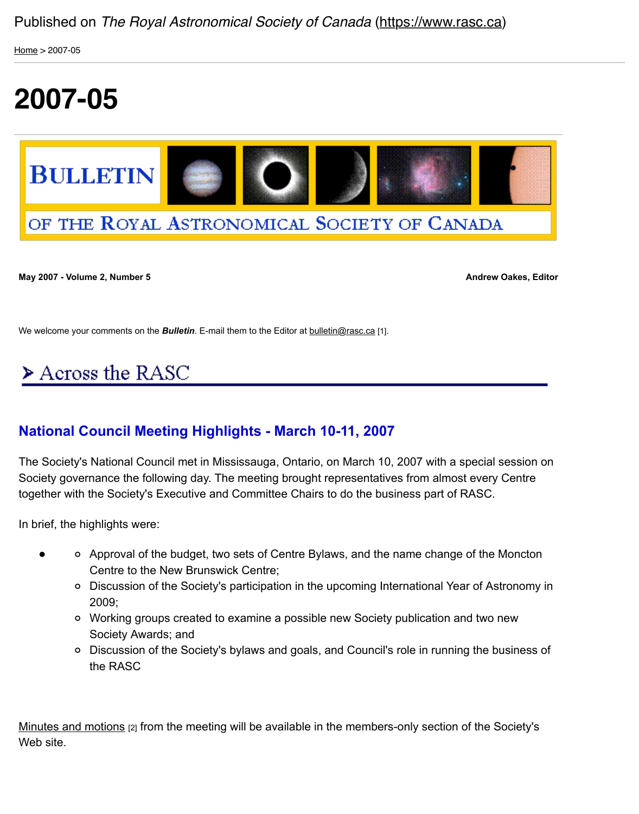

# OF THE ROYAL ASTRONOMICAL SOCIETY OF CANADA

**May 2007 - Volume 2, Number 5 Andrew Oakes, Editor Andrew Oakes, Editor** 

We welcome your comments on the **Bulletin**. E-mail them to the Editor at **bulletin@rasc.ca** [1].

# $\triangleright$  Across the RASC

### **National Council Meeting Highlights - Marc[h 10-11, 20](mailto:bulletin@rasc.ca)07**

The Society's National Council met in Mississauga, Ontario, on March 10, 2007 with a special session on Society governance the following day. The meeting brought representatives from almost every Centre together with the Society's Executive and Committee Chairs to do the business part of RASC.

In brief, the highlights were:

- Approval of the budget, two sets of Centre Bylaws, and the name change of the Moncton Centre to the New Brunswick Centre;
	- o Discussion of the Society's participation in the upcoming International Year of Astronomy 2009;
	- Working groups created to examine a possible new Society publication and two new Society Awards; and
	- o Discussion of the Society's bylaws and goals, and Council's role in running the business of the RASC

Minutes and motions [2] from the meeting will be available in the members-only section of the Society's Web site.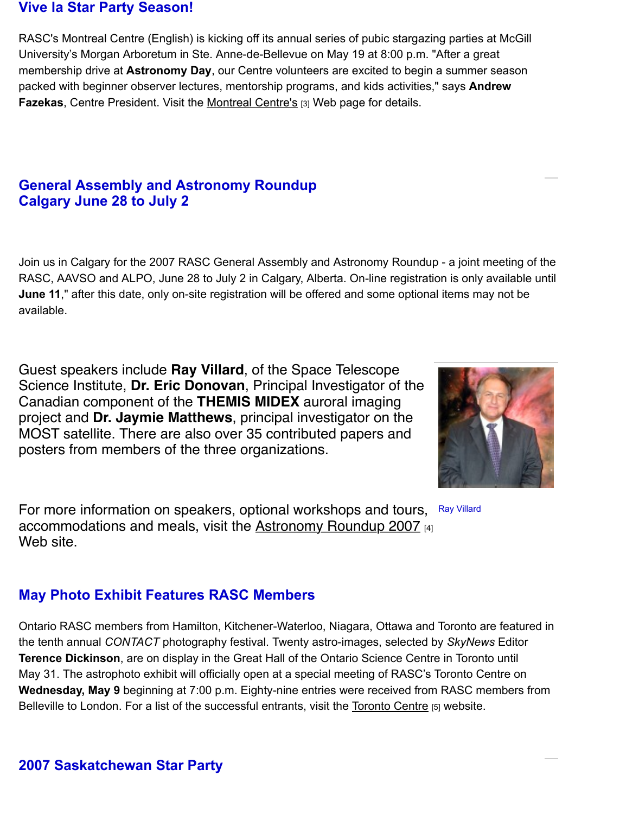# **General Assembly and Astronomy Roundup Calgary June 28 to July 2**

Join us in Calgary for the 2007 RASC General Assembly and Astronomy Roundup - a joint meeting of t RASC, AAVSO and ALPO, June 28 to July 2 in Calgary, Alberta. On-line registration is only available until **June 11**," after this date, only on-site registration will be offered and some optional items may not be available.

Guest speakers include **Ray Villard**, of the Space Telescope Science Institute, **Dr. Eric Donovan**, Principal Investigator of the Canadian component of the **THEMIS MIDEX** auroral imaging project and **Dr. Jaymie Matthews**, principal investigator on the MOST satellite. There are also over 35 contributed papers and posters from members of the three organizations.



Ray Villard For more information on speakers, optional workshops and tours, accommodations and meals, visit the Astronomy Roundup 2007 [4] Web site.

## **May Photo Exhibit Features RASC Members**

Ontario RASC members from Hamilton, Kitchener-Waterloo, Niagara, Ottawa and Toronto are featured in the tenth annual *CONTACT* photography festi[val. Twenty astro-images, selecte](http://calgary.rasc.ca/ar2007/)d by *SkyNews* Editor **Terence Dickinson**, are on display in the Great Hall of the Ontario Science Centre in Toronto until May 31. The astrophoto exhibit will officially open at a special meeting of RASC's Toronto Centre on **Wednesday, May 9** beginning at 7:00 p.m. Eighty-nine entries were received from RASC members from Belleville to London. For a list of the successful entrants, visit the Toronto Centre [5] website.

## **2007 Saskatchewan Star Party**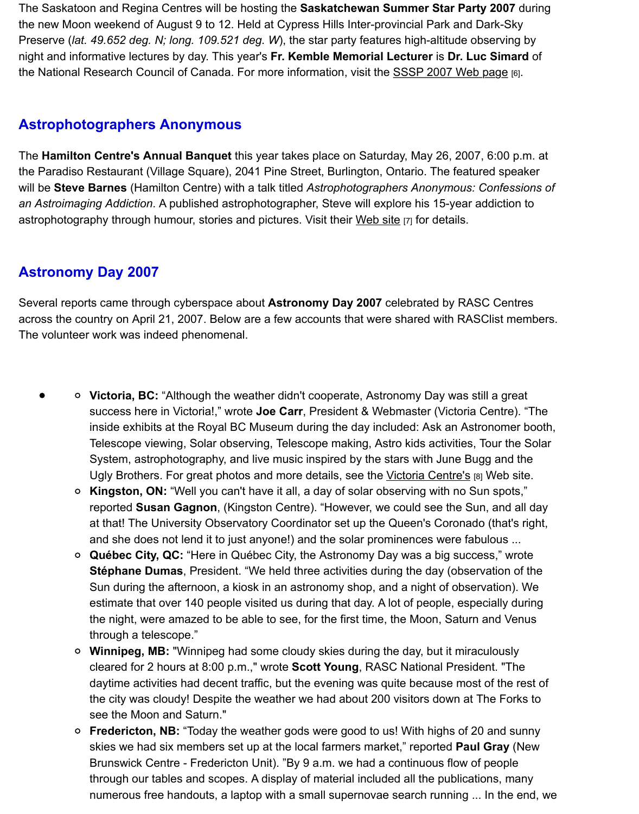## **Astrophotographers Anonymous**

The **Hamilton Centre's Annual Banquet** this year takes place on Saturday, May 26, 2007, 6:00 p.m. at the Paradiso Restaurant (Village Square), 2041 Pine Street, Burlington, Ontario. The featured speaker will be Steve Barnes (Hamilton Centre) with a talk titled Astrophotograph[ers Anonymous: Confe](http://www.usask.ca/rasc/starparty.html)ssions *an Astroimaging Addiction*. A published astrophotographer, Steve will explore his 15-year addiction to astrophotography through humour, stories and pictures. Visit their Web site [7] for details.

## **Astronomy Day 2007**

Several reports came through cyberspace about **Astronomy Day 2007** celebrated by RASC Centres across the country on April 21, 2007. Below are a few accounts th[at were sh](http://www.hamiltonrasc.ca/)ared with RASClist member The volunteer work was indeed phenomenal.

- **Victoria, BC:** "Although the weather didn't cooperate, Astronomy Day was still a great success here in Victoria!," wrote **Joe Carr**, President & Webmaster (Victoria Centre). "The inside exhibits at the Royal BC Museum during the day included: Ask an Astronomer boo Telescope viewing, Solar observing, Telescope making, Astro kids activities, Tour the Solar System, astrophotography, and live music inspired by the stars with June Bugg and the Ugly Brothers. For great photos and more details, see the Victoria Centre's [8] Web site.
	- **Kingston, ON:** "Well you can't have it all, a day of solar observing with no Sun spots," reported **Susan Gagnon**, (Kingston Centre). "However, we could see the Sun, and all day at that! The University Observatory Coordinator set up the Queen's Coronado (that's right and she does not lend it to just anyone!) and the solar prominences were fabulous ...
	- **Québec City, QC:** "Here in Québec City, the Astronomy Day was a big success," wrote **Stéphane Dumas**, President. "We held three activities during the day (observation of the Sun during the afternoon, a kiosk in an astronomy shop, a[nd a night of obse](http://victoria.rasc.ca/events/astronomy-day/)rvation). We estimate that over 140 people visited us during that day. A lot of people, especially during the night, were amazed to be able to see, for the first time, the Moon, Saturn and Venus through a telescope."
	- **Winnipeg, MB:** "Winnipeg had some cloudy skies during the day, but it miraculously cleared for 2 hours at 8:00 p.m.," wrote **Scott Young**, RASC National President. "The daytime activities had decent traffic, but the evening was quite because most of the rest of the city was cloudy! Despite the weather we had about 200 visitors down at The Forks to see the Moon and Saturn."
	- **Fredericton, NB:** "Today the weather gods were good to us! With highs of 20 and sunny skies we had six members set up at the local farmers market," reported **Paul Gray** (New Brunswick Centre - Fredericton Unit). "By 9 a.m. we had a continuous flow of people through our tables and scopes. A display of material included all the publications, many numerous free handouts, a laptop with a small supernovae search running ... In the end,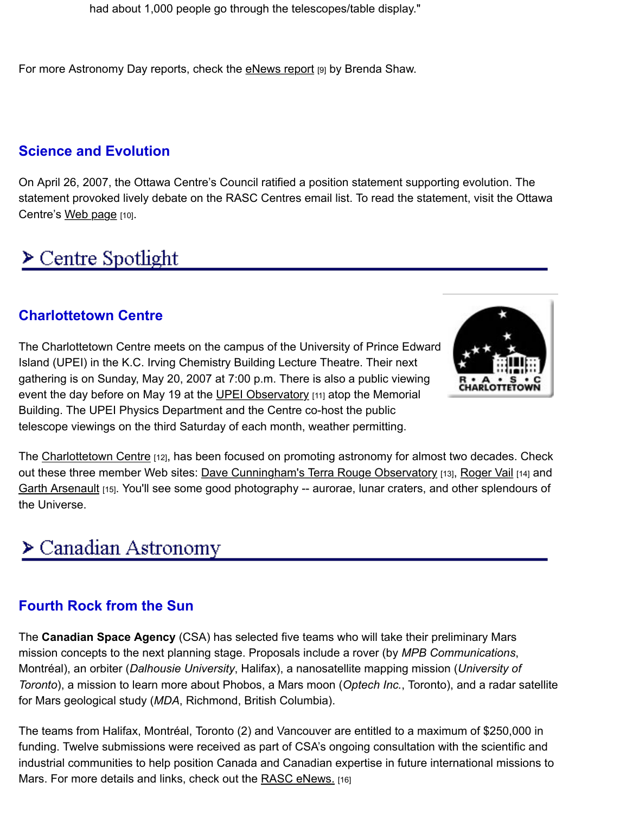# **Science and Evolution**

On April 26, 2007, the Ottawa Centre's Cou[ncil ratified a p](https://www.rasc.ca/news/astronomy-week-2007-dazzling-success)osition statement supporting evolution. The statement provoked lively debate on the RASC Centres email list. To read the statement, visit the Ottav Centre's Web page [10].

# $\triangleright$  Centre Spotlight

# **Charlo[ttetown](http://www.ottawa.rasc.ca/science/index.html) Centre**

The Charlottetown Centre meets on the campus of the University of Prince Edward Island (UPEI) in the K.C. Irving Chemistry Building Lecture Theatre. Their next gathering is on Sunday, May 20, 2007 at 7:00 p.m. There is also a public viewing event the day before on May 19 at the UPEI Observatory [11] atop the Memorial Building. The UPEI Physics Department and the Centre co-host the public telescope viewings on the third Saturday of each month, weather permitting.



The Charlottetown Centre [12], has been focused on promoting astronomy for almost two decades. Che out these three member Web sites: Dave Cunningham's Terra Rouge Observatory [13], Roger Vail [14] and Garth Arsenault [15]. You'll see some good photography -- aurorae, lunar craters, and other splendours of the Universe.

# $\triangleright$  Canadian Astronomy

# **[Fourth Rock](http://www.upei.ca/%7Earsenaul/) from the Sun**

The **Canadian Space Agency** (CSA) has selected five teams who will take their preliminary Mars mission concepts to the next planning stage. Proposals include a rover (by *MPB Communications*, Montréal), an orbiter (*Dalhousie University*, Halifax), a nanosatellite mapping mission (*University of Toronto*), a mission to learn more about Phobos, a Mars moon (Optech Inc., Toronto), and a radar satel for Mars geological study (*MDA*, Richmond, British Columbia).

The teams from Halifax, Montréal, Toronto (2) and Vancouver are entitled to a maximum of \$250,000 in funding. Twelve submissions were received as part of CSA's ongoing consultation with the scientific and industrial communities to help position Canada and Canadian expertise in future international missions Mars. For more details and links, check out the RASC eNews. [16]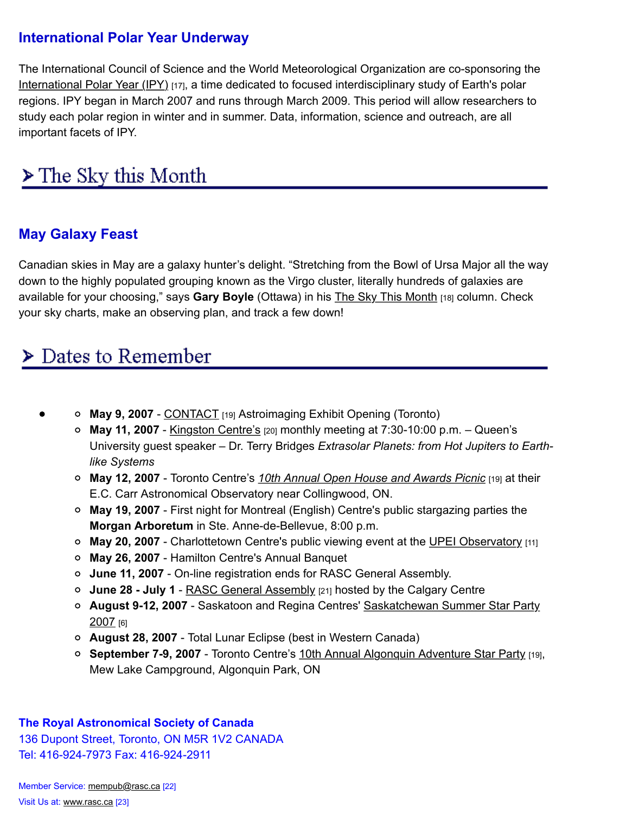study each polar region in winter and in summer. Data, information, science and outreach, are all important facets of IPY.

# $\triangleright$  The Sky this Month

# **May Galaxy Feast**

Canadian skies in May are a galaxy hunter's delight. "Stretching from the Bowl of Ursa Major all the way down to the highly populated grouping known as the Virgo cluster, literally hundreds of galaxies are available for your choosing," says **Gary Boyle** (Ottawa) in his The Sky This Month [18] column. Check your sky charts, make an observing plan, and track a few down!

# Dates to Remember

- **May 9, 2007** CONTACT [19] Astroimaging Exhi[bit Opening \(Toronto\)](https://www.rasc.ca/news/sky-month-may-2007)
	- **May 11, 2007** Kingston Centre's [20] monthly meeting at 7:30-10:00 p.m. Queen's University guest speaker – Dr. Terry Bridges *Extrasolar Planets: from Hot Jupiters to Earthlike Systems*
	- **May 12, 2007** Toronto Centre's *10th Annual Open House and Awards Picnic* [19] at their E.C. Carr Astronomical Observatory near Collingwood, ON.
	- **May 19, 2007** First night for Montreal (English) Centre's public stargazing parties the **Morgan Arbo[retum](http://rascto.ca/index.php)** in Ste. Anne-de-Bellevue, 8:00 p.m.
	- **May 20, 2007** - [Charlottetown Cen](http://kingston.rasc.ca/)tre's public viewing event at the UPEI Observatory [11]
	- **May 26, 2007** Hamilton Centre's Annual Banquet
	- **June 11, 2007** On-line registration ends for RASC General Assembly.
	- **June 28 July 1** RASC General Assembly [\[21\] hosted by the Calgary Centre](http://rascto.ca/index.php)
	- **August 9-12, 2007** Saskatoon and Regina Centres' Saskatchewan Summer Star Party 2007 [6]
	- **August 28, 2007** Total Lunar Eclipse (best in Western Canada)
	- **September 7-9, 2007** Toronto Centre's 10th Annual Algonquin A[dventure Star Party](http://www.upei.ca/%7Ephysics/) [19], Mew Lake Campground, Algonquin Park, ON

### **The Royal A[stronomical Society of Canada](http://www.usask.ca/rasc/starparty.html)**

136 Dupont Street, Toronto, ON M5R 1V2 CANADA Tel: 416-924-7973 Fax: 416-924-2911